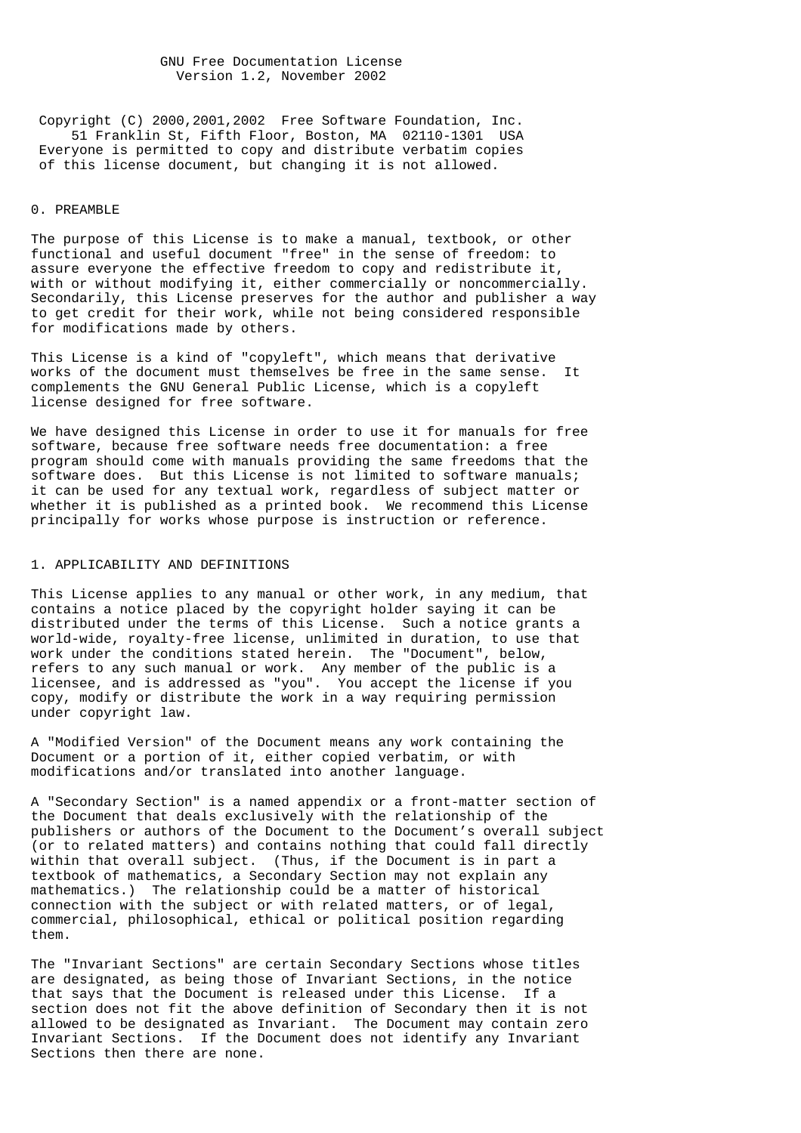GNU Free Documentation License Version 1.2, November 2002

 Copyright (C) 2000,2001,2002 Free Software Foundation, Inc. 51 Franklin St, Fifth Floor, Boston, MA 02110-1301 USA Everyone is permitted to copy and distribute verbatim copies of this license document, but changing it is not allowed.

#### 0. PREAMBLE

The purpose of this License is to make a manual, textbook, or other functional and useful document "free" in the sense of freedom: to assure everyone the effective freedom to copy and redistribute it, with or without modifying it, either commercially or noncommercially. Secondarily, this License preserves for the author and publisher a way to get credit for their work, while not being considered responsible for modifications made by others.

This License is a kind of "copyleft", which means that derivative works of the document must themselves be free in the same sense. It complements the GNU General Public License, which is a copyleft license designed for free software.

We have designed this License in order to use it for manuals for free software, because free software needs free documentation: a free program should come with manuals providing the same freedoms that the software does. But this License is not limited to software manuals; it can be used for any textual work, regardless of subject matter or whether it is published as a printed book. We recommend this License principally for works whose purpose is instruction or reference.

### 1. APPLICABILITY AND DEFINITIONS

This License applies to any manual or other work, in any medium, that contains a notice placed by the copyright holder saying it can be distributed under the terms of this License. Such a notice grants a world-wide, royalty-free license, unlimited in duration, to use that work under the conditions stated herein. The "Document", below, refers to any such manual or work. Any member of the public is a licensee, and is addressed as "you". You accept the license if you copy, modify or distribute the work in a way requiring permission under copyright law.

A "Modified Version" of the Document means any work containing the Document or a portion of it, either copied verbatim, or with modifications and/or translated into another language.

A "Secondary Section" is a named appendix or a front-matter section of the Document that deals exclusively with the relationship of the publishers or authors of the Document to the Document's overall subject (or to related matters) and contains nothing that could fall directly within that overall subject. (Thus, if the Document is in part a textbook of mathematics, a Secondary Section may not explain any mathematics.) The relationship could be a matter of historical connection with the subject or with related matters, or of legal, commercial, philosophical, ethical or political position regarding them.

The "Invariant Sections" are certain Secondary Sections whose titles are designated, as being those of Invariant Sections, in the notice that says that the Document is released under this License. If a section does not fit the above definition of Secondary then it is not allowed to be designated as Invariant. The Document may contain zero Invariant Sections. If the Document does not identify any Invariant Sections then there are none.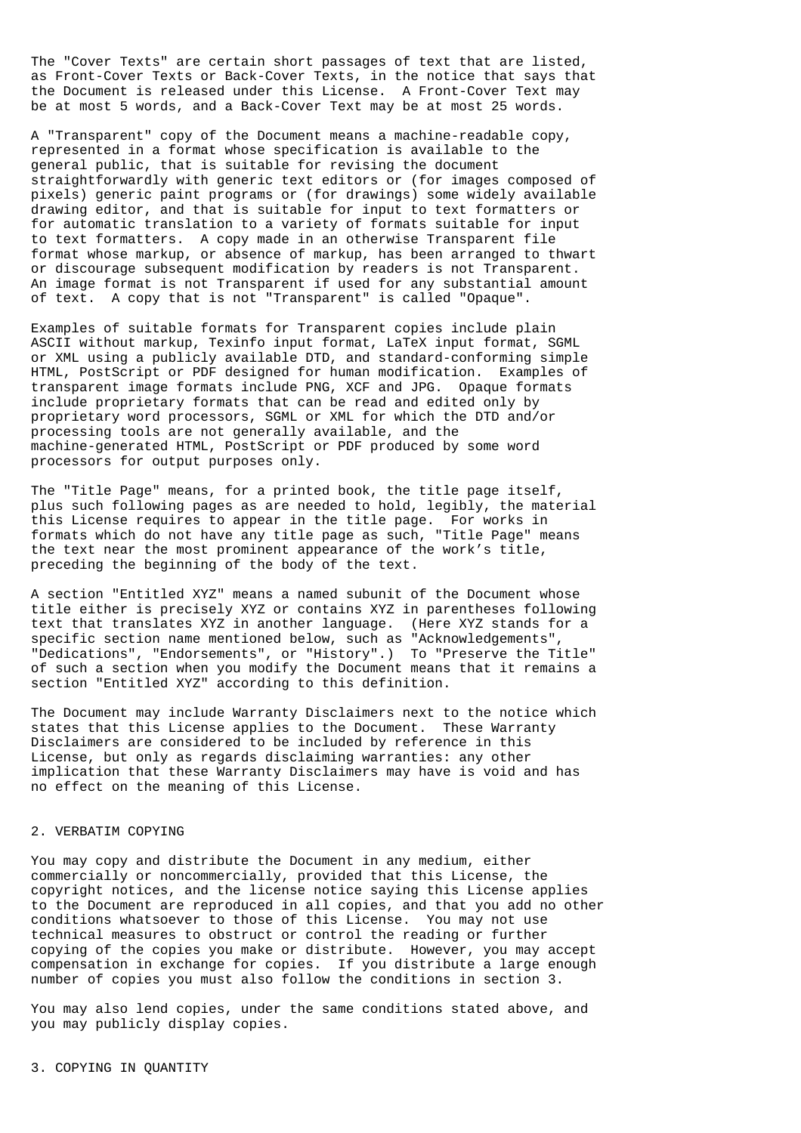The "Cover Texts" are certain short passages of text that are listed, as Front-Cover Texts or Back-Cover Texts, in the notice that says that the Document is released under this License. A Front-Cover Text may be at most 5 words, and a Back-Cover Text may be at most 25 words.

A "Transparent" copy of the Document means a machine-readable copy, represented in a format whose specification is available to the general public, that is suitable for revising the document straightforwardly with generic text editors or (for images composed of pixels) generic paint programs or (for drawings) some widely available drawing editor, and that is suitable for input to text formatters or for automatic translation to a variety of formats suitable for input to text formatters. A copy made in an otherwise Transparent file format whose markup, or absence of markup, has been arranged to thwart or discourage subsequent modification by readers is not Transparent. An image format is not Transparent if used for any substantial amount of text. A copy that is not "Transparent" is called "Opaque".

Examples of suitable formats for Transparent copies include plain ASCII without markup, Texinfo input format, LaTeX input format, SGML or XML using a publicly available DTD, and standard-conforming simple HTML, PostScript or PDF designed for human modification. Examples of transparent image formats include PNG, XCF and JPG. Opaque formats include proprietary formats that can be read and edited only by proprietary word processors, SGML or XML for which the DTD and/or processing tools are not generally available, and the machine-generated HTML, PostScript or PDF produced by some word processors for output purposes only.

The "Title Page" means, for a printed book, the title page itself, plus such following pages as are needed to hold, legibly, the material this License requires to appear in the title page. For works in formats which do not have any title page as such, "Title Page" means the text near the most prominent appearance of the work's title, preceding the beginning of the body of the text.

A section "Entitled XYZ" means a named subunit of the Document whose title either is precisely XYZ or contains XYZ in parentheses following text that translates XYZ in another language. (Here XYZ stands for a specific section name mentioned below, such as "Acknowledgements", "Dedications", "Endorsements", or "History".) To "Preserve the Title" of such a section when you modify the Document means that it remains a section "Entitled XYZ" according to this definition.

The Document may include Warranty Disclaimers next to the notice which states that this License applies to the Document. These Warranty Disclaimers are considered to be included by reference in this License, but only as regards disclaiming warranties: any other implication that these Warranty Disclaimers may have is void and has no effect on the meaning of this License.

## 2. VERBATIM COPYING

You may copy and distribute the Document in any medium, either commercially or noncommercially, provided that this License, the copyright notices, and the license notice saying this License applies to the Document are reproduced in all copies, and that you add no other conditions whatsoever to those of this License. You may not use technical measures to obstruct or control the reading or further copying of the copies you make or distribute. However, you may accept compensation in exchange for copies. If you distribute a large enough number of copies you must also follow the conditions in section 3.

You may also lend copies, under the same conditions stated above, and you may publicly display copies.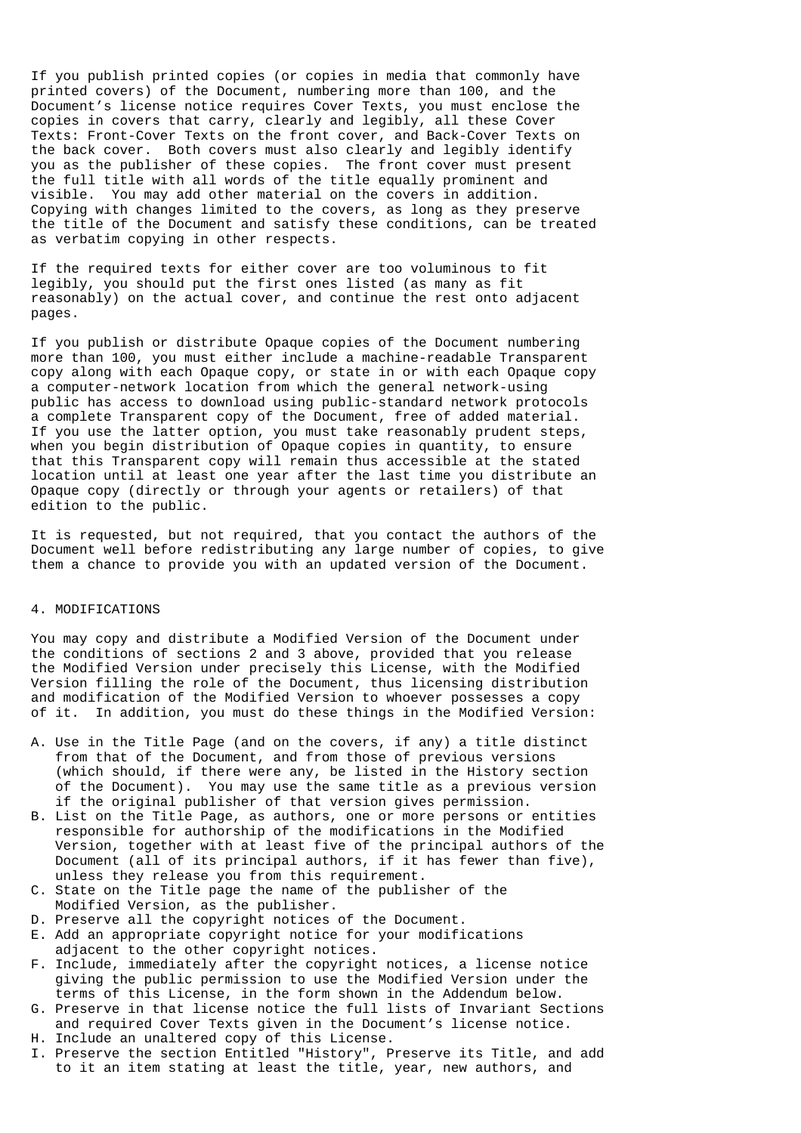If you publish printed copies (or copies in media that commonly have printed covers) of the Document, numbering more than 100, and the Document's license notice requires Cover Texts, you must enclose the copies in covers that carry, clearly and legibly, all these Cover Texts: Front-Cover Texts on the front cover, and Back-Cover Texts on the back cover. Both covers must also clearly and legibly identify you as the publisher of these copies. The front cover must present the full title with all words of the title equally prominent and visible. You may add other material on the covers in addition. Copying with changes limited to the covers, as long as they preserve the title of the Document and satisfy these conditions, can be treated as verbatim copying in other respects.

If the required texts for either cover are too voluminous to fit legibly, you should put the first ones listed (as many as fit reasonably) on the actual cover, and continue the rest onto adjacent pages.

If you publish or distribute Opaque copies of the Document numbering more than 100, you must either include a machine-readable Transparent copy along with each Opaque copy, or state in or with each Opaque copy a computer-network location from which the general network-using public has access to download using public-standard network protocols a complete Transparent copy of the Document, free of added material. If you use the latter option, you must take reasonably prudent steps, when you begin distribution of Opaque copies in quantity, to ensure that this Transparent copy will remain thus accessible at the stated location until at least one year after the last time you distribute an Opaque copy (directly or through your agents or retailers) of that edition to the public.

It is requested, but not required, that you contact the authors of the Document well before redistributing any large number of copies, to give them a chance to provide you with an updated version of the Document.

### 4. MODIFICATIONS

You may copy and distribute a Modified Version of the Document under the conditions of sections 2 and 3 above, provided that you release the Modified Version under precisely this License, with the Modified Version filling the role of the Document, thus licensing distribution and modification of the Modified Version to whoever possesses a copy of it. In addition, you must do these things in the Modified Version:

- A. Use in the Title Page (and on the covers, if any) a title distinct from that of the Document, and from those of previous versions (which should, if there were any, be listed in the History section of the Document). You may use the same title as a previous version if the original publisher of that version gives permission.
- B. List on the Title Page, as authors, one or more persons or entities responsible for authorship of the modifications in the Modified Version, together with at least five of the principal authors of the Document (all of its principal authors, if it has fewer than five), unless they release you from this requirement.
- C. State on the Title page the name of the publisher of the Modified Version, as the publisher.
- D. Preserve all the copyright notices of the Document.
- E. Add an appropriate copyright notice for your modifications adjacent to the other copyright notices.
- F. Include, immediately after the copyright notices, a license notice giving the public permission to use the Modified Version under the terms of this License, in the form shown in the Addendum below.
- G. Preserve in that license notice the full lists of Invariant Sections and required Cover Texts given in the Document's license notice.
- H. Include an unaltered copy of this License.
- I. Preserve the section Entitled "History", Preserve its Title, and add to it an item stating at least the title, year, new authors, and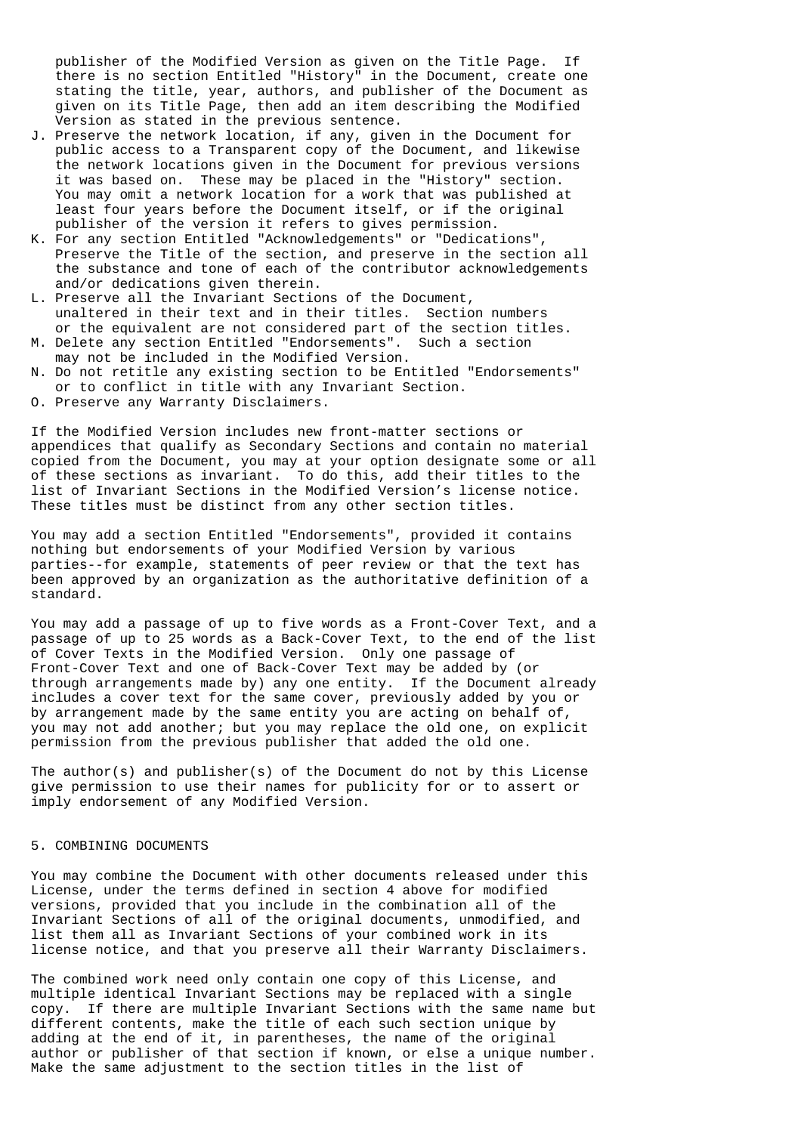publisher of the Modified Version as given on the Title Page. If there is no section Entitled "History" in the Document, create one stating the title, year, authors, and publisher of the Document as given on its Title Page, then add an item describing the Modified Version as stated in the previous sentence.

- J. Preserve the network location, if any, given in the Document for public access to a Transparent copy of the Document, and likewise the network locations given in the Document for previous versions it was based on. These may be placed in the "History" section. You may omit a network location for a work that was published at least four years before the Document itself, or if the original publisher of the version it refers to gives permission.
- K. For any section Entitled "Acknowledgements" or "Dedications", Preserve the Title of the section, and preserve in the section all the substance and tone of each of the contributor acknowledgements and/or dedications given therein.
- L. Preserve all the Invariant Sections of the Document, unaltered in their text and in their titles. Section numbers or the equivalent are not considered part of the section titles.
- M. Delete any section Entitled "Endorsements". Such a section may not be included in the Modified Version.
- N. Do not retitle any existing section to be Entitled "Endorsements" or to conflict in title with any Invariant Section.
- O. Preserve any Warranty Disclaimers.

If the Modified Version includes new front-matter sections or appendices that qualify as Secondary Sections and contain no material copied from the Document, you may at your option designate some or all of these sections as invariant. To do this, add their titles to the list of Invariant Sections in the Modified Version's license notice. These titles must be distinct from any other section titles.

You may add a section Entitled "Endorsements", provided it contains nothing but endorsements of your Modified Version by various parties--for example, statements of peer review or that the text has been approved by an organization as the authoritative definition of a standard.

You may add a passage of up to five words as a Front-Cover Text, and a passage of up to 25 words as a Back-Cover Text, to the end of the list of Cover Texts in the Modified Version. Only one passage of Front-Cover Text and one of Back-Cover Text may be added by (or through arrangements made by) any one entity. If the Document already includes a cover text for the same cover, previously added by you or by arrangement made by the same entity you are acting on behalf of, you may not add another; but you may replace the old one, on explicit permission from the previous publisher that added the old one.

The author(s) and publisher(s) of the Document do not by this License give permission to use their names for publicity for or to assert or imply endorsement of any Modified Version.

### 5. COMBINING DOCUMENTS

You may combine the Document with other documents released under this License, under the terms defined in section 4 above for modified versions, provided that you include in the combination all of the Invariant Sections of all of the original documents, unmodified, and list them all as Invariant Sections of your combined work in its license notice, and that you preserve all their Warranty Disclaimers.

The combined work need only contain one copy of this License, and multiple identical Invariant Sections may be replaced with a single copy. If there are multiple Invariant Sections with the same name but different contents, make the title of each such section unique by adding at the end of it, in parentheses, the name of the original author or publisher of that section if known, or else a unique number. Make the same adjustment to the section titles in the list of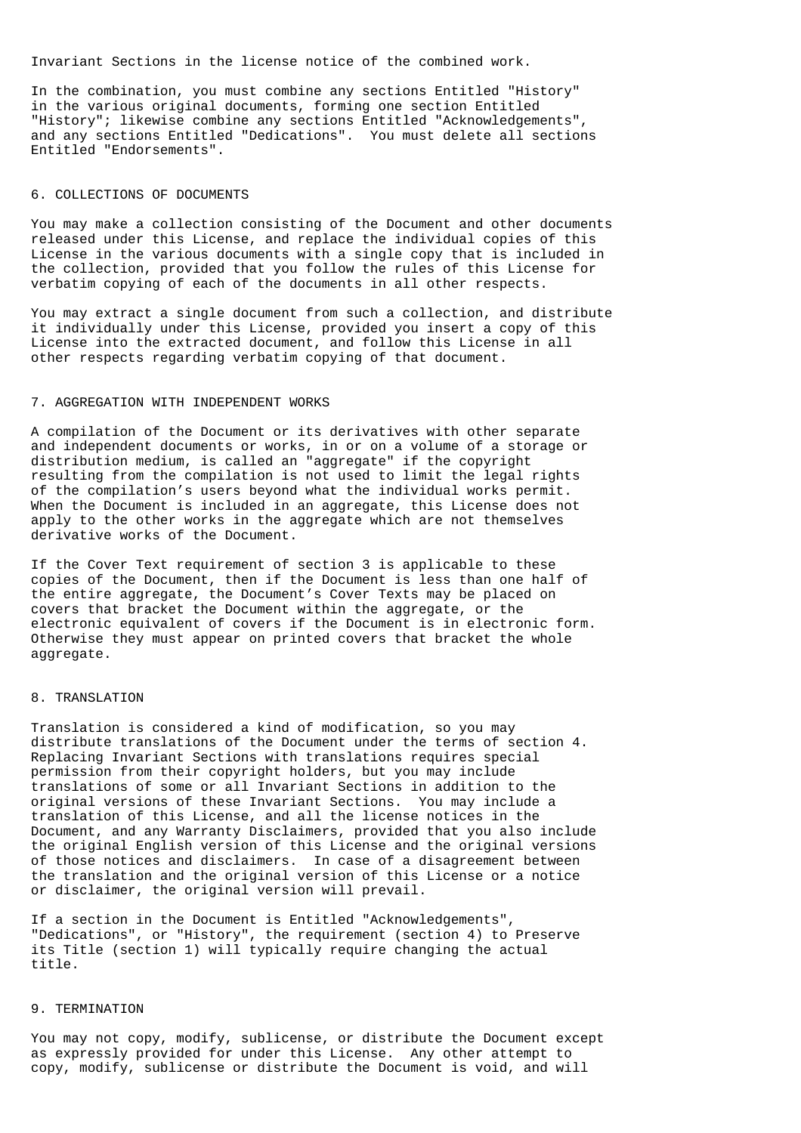Invariant Sections in the license notice of the combined work.

In the combination, you must combine any sections Entitled "History" in the various original documents, forming one section Entitled "History"; likewise combine any sections Entitled "Acknowledgements", and any sections Entitled "Dedications". You must delete all sections Entitled "Endorsements".

#### 6. COLLECTIONS OF DOCUMENTS

You may make a collection consisting of the Document and other documents released under this License, and replace the individual copies of this License in the various documents with a single copy that is included in the collection, provided that you follow the rules of this License for verbatim copying of each of the documents in all other respects.

You may extract a single document from such a collection, and distribute it individually under this License, provided you insert a copy of this License into the extracted document, and follow this License in all other respects regarding verbatim copying of that document.

#### 7. AGGREGATION WITH INDEPENDENT WORKS

A compilation of the Document or its derivatives with other separate and independent documents or works, in or on a volume of a storage or distribution medium, is called an "aggregate" if the copyright resulting from the compilation is not used to limit the legal rights of the compilation's users beyond what the individual works permit. When the Document is included in an aggregate, this License does not apply to the other works in the aggregate which are not themselves derivative works of the Document.

If the Cover Text requirement of section 3 is applicable to these copies of the Document, then if the Document is less than one half of the entire aggregate, the Document's Cover Texts may be placed on covers that bracket the Document within the aggregate, or the electronic equivalent of covers if the Document is in electronic form. Otherwise they must appear on printed covers that bracket the whole aggregate.

#### 8. TRANSLATION

Translation is considered a kind of modification, so you may distribute translations of the Document under the terms of section 4. Replacing Invariant Sections with translations requires special permission from their copyright holders, but you may include translations of some or all Invariant Sections in addition to the original versions of these Invariant Sections. You may include a translation of this License, and all the license notices in the Document, and any Warranty Disclaimers, provided that you also include the original English version of this License and the original versions of those notices and disclaimers. In case of a disagreement between the translation and the original version of this License or a notice or disclaimer, the original version will prevail.

If a section in the Document is Entitled "Acknowledgements", "Dedications", or "History", the requirement (section 4) to Preserve its Title (section 1) will typically require changing the actual title.

## 9. TERMINATION

You may not copy, modify, sublicense, or distribute the Document except as expressly provided for under this License. Any other attempt to copy, modify, sublicense or distribute the Document is void, and will